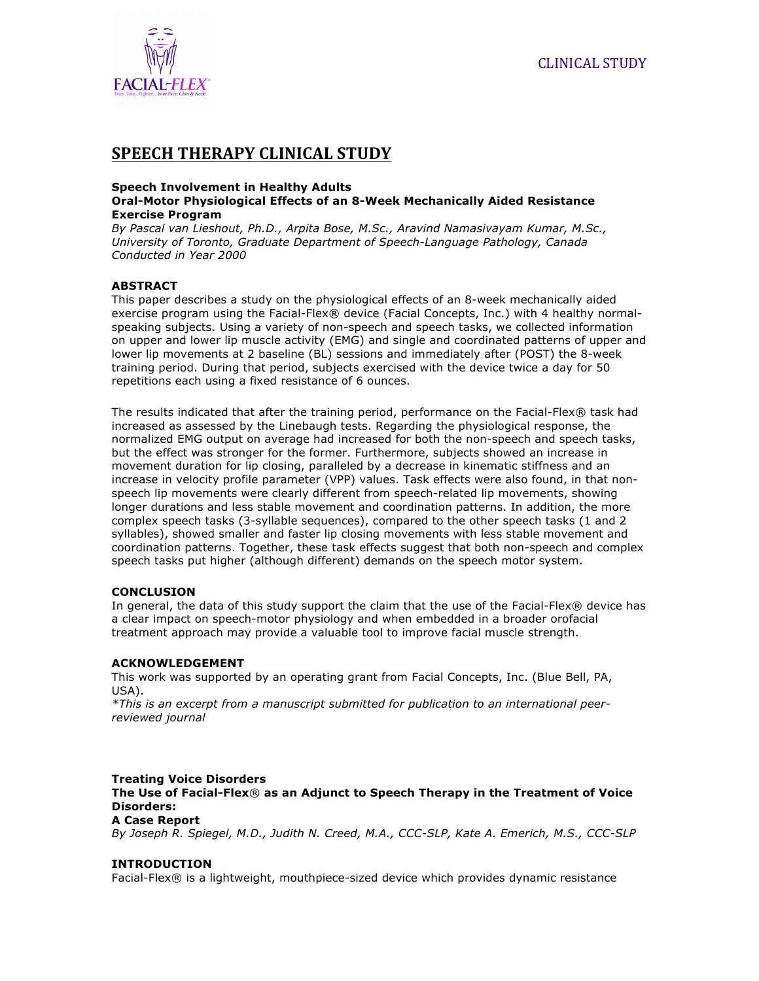

# **SPEECH THERAPY CLINICAL STUDY**

#### **Speech Involvement in Healthy Adults Oral-Motor Physiological Effects of an 8-Week Mechanically Aided Resistance Exercise Program**

*By Pascal van Lieshout, Ph.D., Arpita Bose, M.Sc., Aravind Namasivayam Kumar, M.Sc., University of Toronto, Graduate Department of Speech-Language Pathology, Canada Conducted in Year 2000*

# **ABSTRACT**

This paper describes a study on the physiological effects of an 8-week mechanically aided exercise program using the Facial-Flex® device (Facial Concepts, Inc.) with 4 healthy normalspeaking subjects. Using a variety of non-speech and speech tasks, we collected information on upper and lower lip muscle activity (EMG) and single and coordinated patterns of upper and lower lip movements at 2 baseline (BL) sessions and immediately after (POST) the 8-week training period. During that period, subjects exercised with the device twice a day for 50 repetitions each using a fixed resistance of 6 ounces.

The results indicated that after the training period, performance on the Facial-Flex® task had increased as assessed by the Linebaugh tests. Regarding the physiological response, the normalized EMG output on average had increased for both the non-speech and speech tasks, but the effect was stronger for the former. Furthermore, subjects showed an increase in movement duration for lip closing, paralleled by a decrease in kinematic stiffness and an increase in velocity profile parameter (VPP) values. Task effects were also found, in that nonspeech lip movements were clearly different from speech-related lip movements, showing longer durations and less stable movement and coordination patterns. In addition, the more complex speech tasks (3-syllable sequences), compared to the other speech tasks (1 and 2 syllables), showed smaller and faster lip closing movements with less stable movement and coordination patterns. Together, these task effects suggest that both non-speech and complex speech tasks put higher (although different) demands on the speech motor system.

# **CONCLUSION**

In general, the data of this study support the claim that the use of the Facial-Flex® device has a clear impact on speech-motor physiology and when embedded in a broader orofacial treatment approach may provide a valuable tool to improve facial muscle strength.

# **ACKNOWLEDGEMENT**

This work was supported by an operating grant from Facial Concepts, Inc. (Blue Bell, PA, USA).

*\*This is an excerpt from a manuscript submitted for publication to an international peerreviewed journal*

# **Treating Voice Disorders The Use of Facial-Flex**® **as an Adjunct to Speech Therapy in the Treatment of Voice Disorders:**

# **A Case Report**

*By Joseph R. Spiegel, M.D., Judith N. Creed, M.A., CCC-SLP, Kate A. Emerich, M.S., CCC-SLP*

# **INTRODUCTION**

Facial-Flex® is a lightweight, mouthpiece-sized device which provides dynamic resistance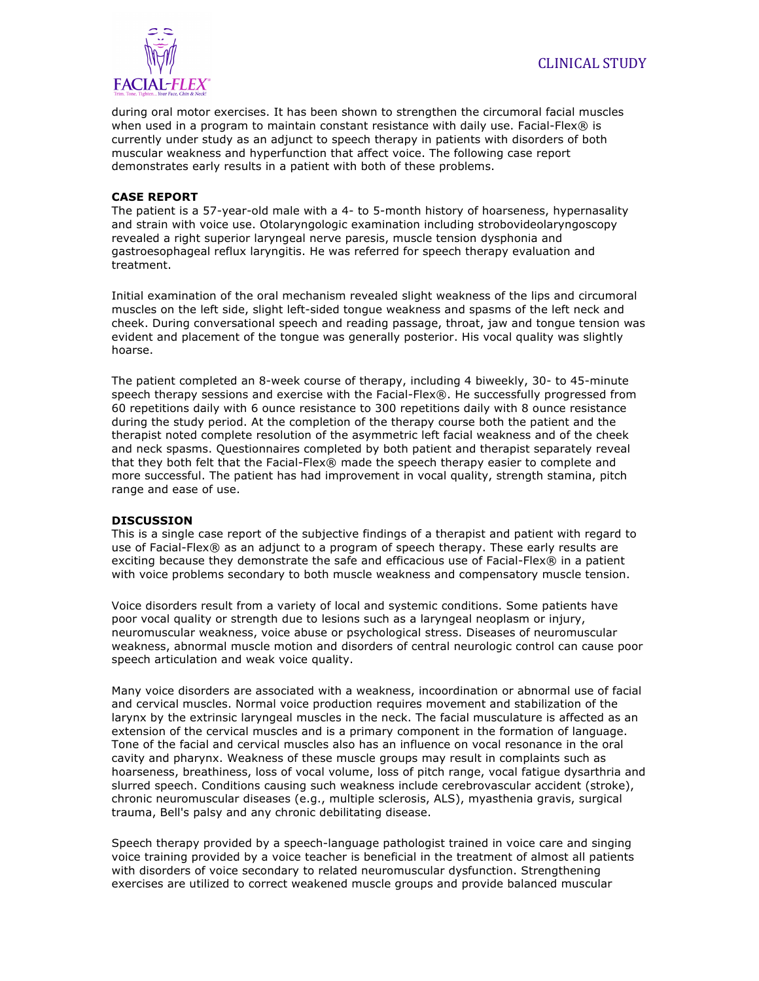

during oral motor exercises. It has been shown to strengthen the circumoral facial muscles when used in a program to maintain constant resistance with daily use. Facial-Flex® is currently under study as an adjunct to speech therapy in patients with disorders of both muscular weakness and hyperfunction that affect voice. The following case report demonstrates early results in a patient with both of these problems.

# **CASE REPORT**

The patient is a 57-year-old male with a 4- to 5-month history of hoarseness, hypernasality and strain with voice use. Otolaryngologic examination including strobovideolaryngoscopy revealed a right superior laryngeal nerve paresis, muscle tension dysphonia and gastroesophageal reflux laryngitis. He was referred for speech therapy evaluation and treatment.

Initial examination of the oral mechanism revealed slight weakness of the lips and circumoral muscles on the left side, slight left-sided tongue weakness and spasms of the left neck and cheek. During conversational speech and reading passage, throat, jaw and tongue tension was evident and placement of the tongue was generally posterior. His vocal quality was slightly hoarse.

The patient completed an 8-week course of therapy, including 4 biweekly, 30- to 45-minute speech therapy sessions and exercise with the Facial-Flex®. He successfully progressed from 60 repetitions daily with 6 ounce resistance to 300 repetitions daily with 8 ounce resistance during the study period. At the completion of the therapy course both the patient and the therapist noted complete resolution of the asymmetric left facial weakness and of the cheek and neck spasms. Questionnaires completed by both patient and therapist separately reveal that they both felt that the Facial-Flex® made the speech therapy easier to complete and more successful. The patient has had improvement in vocal quality, strength stamina, pitch range and ease of use.

#### **DISCUSSION**

This is a single case report of the subjective findings of a therapist and patient with regard to use of Facial-Flex® as an adjunct to a program of speech therapy. These early results are exciting because they demonstrate the safe and efficacious use of Facial-Flex® in a patient with voice problems secondary to both muscle weakness and compensatory muscle tension.

Voice disorders result from a variety of local and systemic conditions. Some patients have poor vocal quality or strength due to lesions such as a laryngeal neoplasm or injury, neuromuscular weakness, voice abuse or psychological stress. Diseases of neuromuscular weakness, abnormal muscle motion and disorders of central neurologic control can cause poor speech articulation and weak voice quality.

Many voice disorders are associated with a weakness, incoordination or abnormal use of facial and cervical muscles. Normal voice production requires movement and stabilization of the larynx by the extrinsic laryngeal muscles in the neck. The facial musculature is affected as an extension of the cervical muscles and is a primary component in the formation of language. Tone of the facial and cervical muscles also has an influence on vocal resonance in the oral cavity and pharynx. Weakness of these muscle groups may result in complaints such as hoarseness, breathiness, loss of vocal volume, loss of pitch range, vocal fatigue dysarthria and slurred speech. Conditions causing such weakness include cerebrovascular accident (stroke), chronic neuromuscular diseases (e.g., multiple sclerosis, ALS), myasthenia gravis, surgical trauma, Bell's palsy and any chronic debilitating disease.

Speech therapy provided by a speech-language pathologist trained in voice care and singing voice training provided by a voice teacher is beneficial in the treatment of almost all patients with disorders of voice secondary to related neuromuscular dysfunction. Strengthening exercises are utilized to correct weakened muscle groups and provide balanced muscular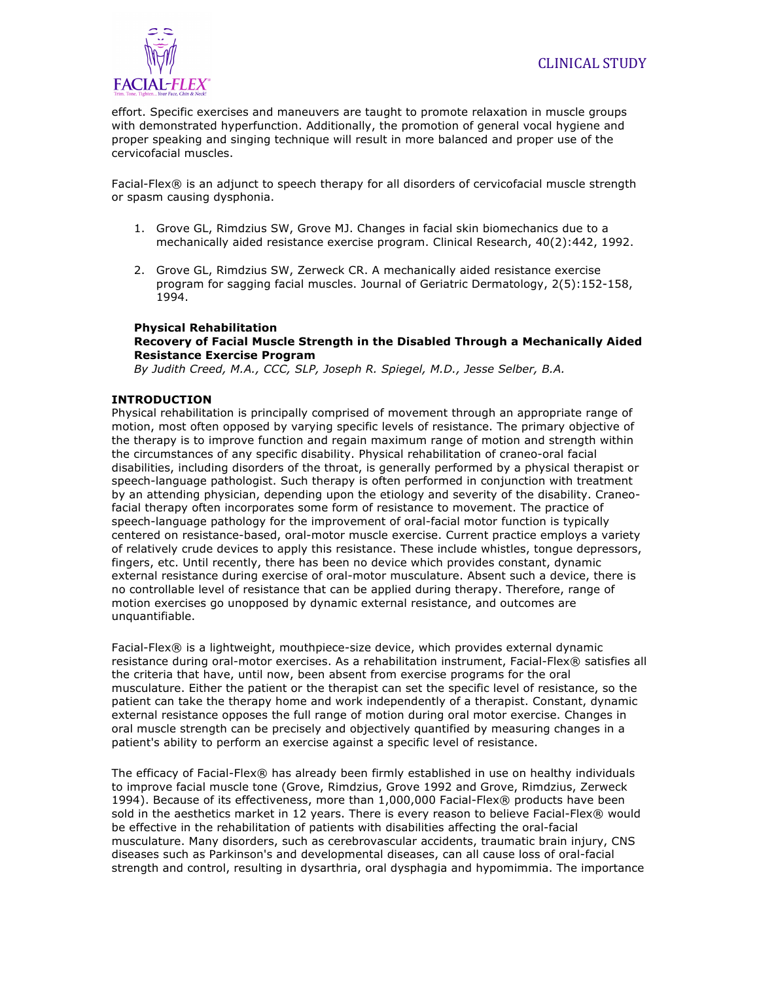

effort. Specific exercises and maneuvers are taught to promote relaxation in muscle groups with demonstrated hyperfunction. Additionally, the promotion of general vocal hygiene and proper speaking and singing technique will result in more balanced and proper use of the cervicofacial muscles.

Facial-Flex® is an adjunct to speech therapy for all disorders of cervicofacial muscle strength or spasm causing dysphonia.

- 1. Grove GL, Rimdzius SW, Grove MJ. Changes in facial skin biomechanics due to a mechanically aided resistance exercise program. Clinical Research, 40(2):442, 1992.
- 2. Grove GL, Rimdzius SW, Zerweck CR. A mechanically aided resistance exercise program for sagging facial muscles. Journal of Geriatric Dermatology, 2(5):152-158, 1994.

#### **Physical Rehabilitation Recovery of Facial Muscle Strength in the Disabled Through a Mechanically Aided Resistance Exercise Program**

*By Judith Creed, M.A., CCC, SLP, Joseph R. Spiegel, M.D., Jesse Selber, B.A.*

### **INTRODUCTION**

Physical rehabilitation is principally comprised of movement through an appropriate range of motion, most often opposed by varying specific levels of resistance. The primary objective of the therapy is to improve function and regain maximum range of motion and strength within the circumstances of any specific disability. Physical rehabilitation of craneo-oral facial disabilities, including disorders of the throat, is generally performed by a physical therapist or speech-language pathologist. Such therapy is often performed in conjunction with treatment by an attending physician, depending upon the etiology and severity of the disability. Craneofacial therapy often incorporates some form of resistance to movement. The practice of speech-language pathology for the improvement of oral-facial motor function is typically centered on resistance-based, oral-motor muscle exercise. Current practice employs a variety of relatively crude devices to apply this resistance. These include whistles, tongue depressors, fingers, etc. Until recently, there has been no device which provides constant, dynamic external resistance during exercise of oral-motor musculature. Absent such a device, there is no controllable level of resistance that can be applied during therapy. Therefore, range of motion exercises go unopposed by dynamic external resistance, and outcomes are unquantifiable.

Facial-Flex® is a lightweight, mouthpiece-size device, which provides external dynamic resistance during oral-motor exercises. As a rehabilitation instrument, Facial-Flex® satisfies all the criteria that have, until now, been absent from exercise programs for the oral musculature. Either the patient or the therapist can set the specific level of resistance, so the patient can take the therapy home and work independently of a therapist. Constant, dynamic external resistance opposes the full range of motion during oral motor exercise. Changes in oral muscle strength can be precisely and objectively quantified by measuring changes in a patient's ability to perform an exercise against a specific level of resistance.

The efficacy of Facial-Flex® has already been firmly established in use on healthy individuals to improve facial muscle tone (Grove, Rimdzius, Grove 1992 and Grove, Rimdzius, Zerweck 1994). Because of its effectiveness, more than 1,000,000 Facial-Flex® products have been sold in the aesthetics market in 12 years. There is every reason to believe Facial-Flex® would be effective in the rehabilitation of patients with disabilities affecting the oral-facial musculature. Many disorders, such as cerebrovascular accidents, traumatic brain injury, CNS diseases such as Parkinson's and developmental diseases, can all cause loss of oral-facial strength and control, resulting in dysarthria, oral dysphagia and hypomimmia. The importance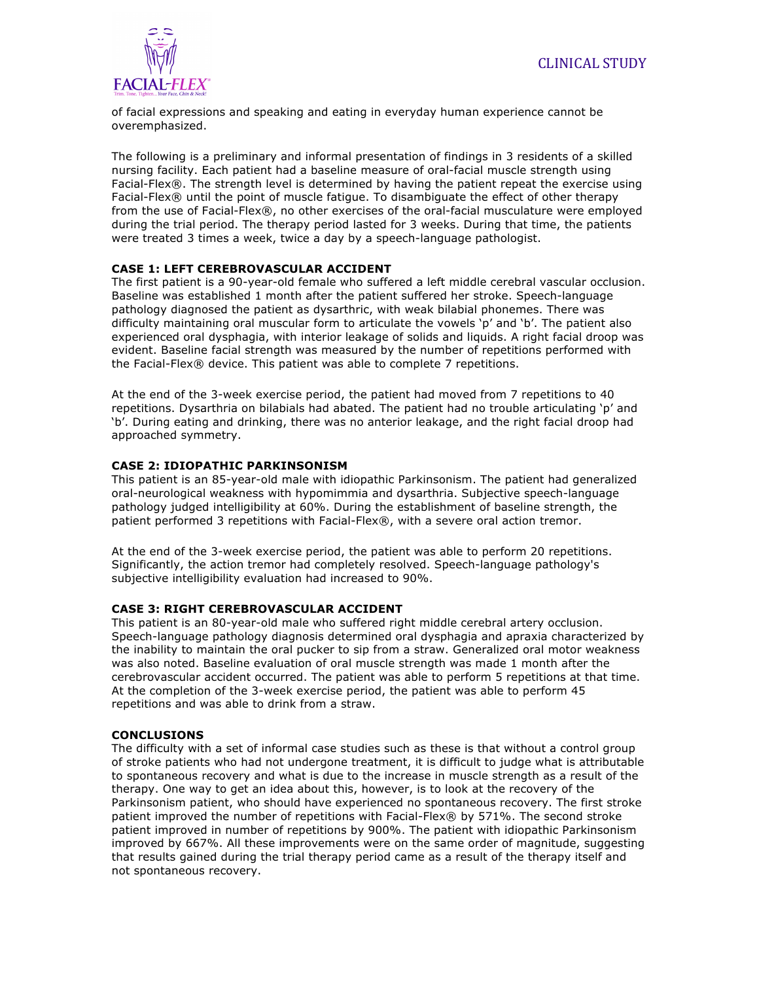

of facial expressions and speaking and eating in everyday human experience cannot be overemphasized.

The following is a preliminary and informal presentation of findings in 3 residents of a skilled nursing facility. Each patient had a baseline measure of oral-facial muscle strength using Facial-Flex®. The strength level is determined by having the patient repeat the exercise using Facial-Flex® until the point of muscle fatigue. To disambiguate the effect of other therapy from the use of Facial-Flex®, no other exercises of the oral-facial musculature were employed during the trial period. The therapy period lasted for 3 weeks. During that time, the patients were treated 3 times a week, twice a day by a speech-language pathologist.

# **CASE 1: LEFT CEREBROVASCULAR ACCIDENT**

The first patient is a 90-year-old female who suffered a left middle cerebral vascular occlusion. Baseline was established 1 month after the patient suffered her stroke. Speech-language pathology diagnosed the patient as dysarthric, with weak bilabial phonemes. There was difficulty maintaining oral muscular form to articulate the vowels 'p' and 'b'. The patient also experienced oral dysphagia, with interior leakage of solids and liquids. A right facial droop was evident. Baseline facial strength was measured by the number of repetitions performed with the Facial-Flex® device. This patient was able to complete 7 repetitions.

At the end of the 3-week exercise period, the patient had moved from 7 repetitions to 40 repetitions. Dysarthria on bilabials had abated. The patient had no trouble articulating 'p' and 'b'. During eating and drinking, there was no anterior leakage, and the right facial droop had approached symmetry.

### **CASE 2: IDIOPATHIC PARKINSONISM**

This patient is an 85-year-old male with idiopathic Parkinsonism. The patient had generalized oral-neurological weakness with hypomimmia and dysarthria. Subjective speech-language pathology judged intelligibility at 60%. During the establishment of baseline strength, the patient performed 3 repetitions with Facial-Flex®, with a severe oral action tremor.

At the end of the 3-week exercise period, the patient was able to perform 20 repetitions. Significantly, the action tremor had completely resolved. Speech-language pathology's subjective intelligibility evaluation had increased to 90%.

#### **CASE 3: RIGHT CEREBROVASCULAR ACCIDENT**

This patient is an 80-year-old male who suffered right middle cerebral artery occlusion. Speech-language pathology diagnosis determined oral dysphagia and apraxia characterized by the inability to maintain the oral pucker to sip from a straw. Generalized oral motor weakness was also noted. Baseline evaluation of oral muscle strength was made 1 month after the cerebrovascular accident occurred. The patient was able to perform 5 repetitions at that time. At the completion of the 3-week exercise period, the patient was able to perform 45 repetitions and was able to drink from a straw.

#### **CONCLUSIONS**

The difficulty with a set of informal case studies such as these is that without a control group of stroke patients who had not undergone treatment, it is difficult to judge what is attributable to spontaneous recovery and what is due to the increase in muscle strength as a result of the therapy. One way to get an idea about this, however, is to look at the recovery of the Parkinsonism patient, who should have experienced no spontaneous recovery. The first stroke patient improved the number of repetitions with Facial-Flex® by 571%. The second stroke patient improved in number of repetitions by 900%. The patient with idiopathic Parkinsonism improved by 667%. All these improvements were on the same order of magnitude, suggesting that results gained during the trial therapy period came as a result of the therapy itself and not spontaneous recovery.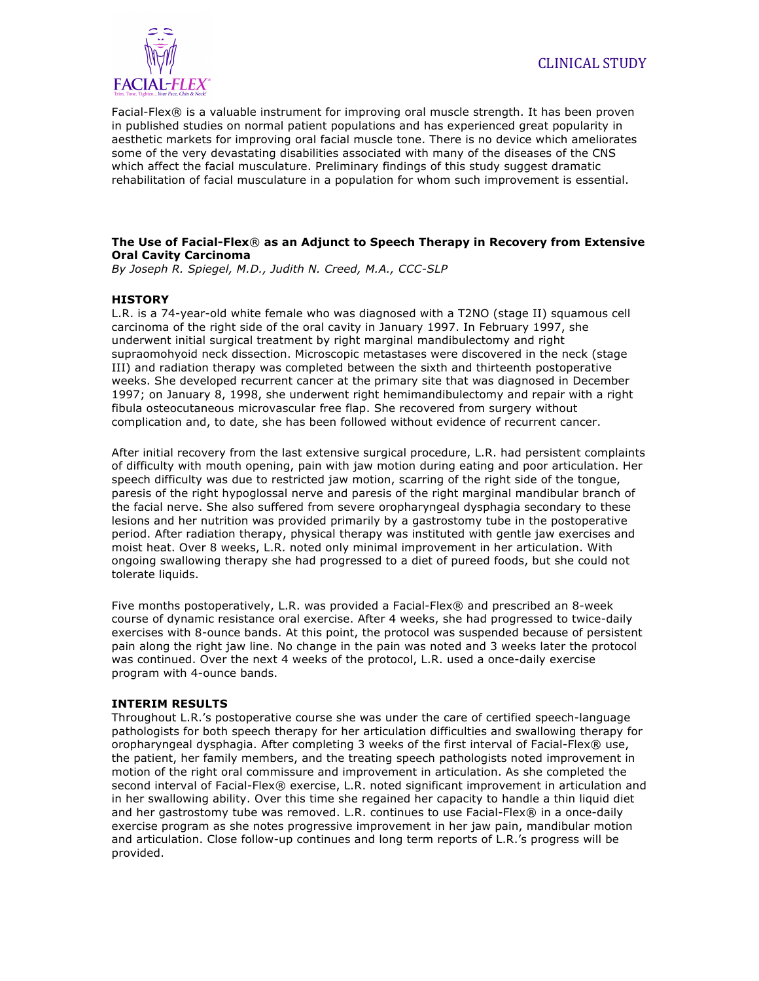

Facial-Flex® is a valuable instrument for improving oral muscle strength. It has been proven in published studies on normal patient populations and has experienced great popularity in aesthetic markets for improving oral facial muscle tone. There is no device which ameliorates some of the very devastating disabilities associated with many of the diseases of the CNS which affect the facial musculature. Preliminary findings of this study suggest dramatic rehabilitation of facial musculature in a population for whom such improvement is essential.

#### **The Use of Facial-Flex**® **as an Adjunct to Speech Therapy in Recovery from Extensive Oral Cavity Carcinoma**

*By Joseph R. Spiegel, M.D., Judith N. Creed, M.A., CCC-SLP*

# **HISTORY**

L.R. is a 74-year-old white female who was diagnosed with a T2NO (stage II) squamous cell carcinoma of the right side of the oral cavity in January 1997. In February 1997, she underwent initial surgical treatment by right marginal mandibulectomy and right supraomohyoid neck dissection. Microscopic metastases were discovered in the neck (stage III) and radiation therapy was completed between the sixth and thirteenth postoperative weeks. She developed recurrent cancer at the primary site that was diagnosed in December 1997; on January 8, 1998, she underwent right hemimandibulectomy and repair with a right fibula osteocutaneous microvascular free flap. She recovered from surgery without complication and, to date, she has been followed without evidence of recurrent cancer.

After initial recovery from the last extensive surgical procedure, L.R. had persistent complaints of difficulty with mouth opening, pain with jaw motion during eating and poor articulation. Her speech difficulty was due to restricted jaw motion, scarring of the right side of the tongue, paresis of the right hypoglossal nerve and paresis of the right marginal mandibular branch of the facial nerve. She also suffered from severe oropharyngeal dysphagia secondary to these lesions and her nutrition was provided primarily by a gastrostomy tube in the postoperative period. After radiation therapy, physical therapy was instituted with gentle jaw exercises and moist heat. Over 8 weeks, L.R. noted only minimal improvement in her articulation. With ongoing swallowing therapy she had progressed to a diet of pureed foods, but she could not tolerate liquids.

Five months postoperatively, L.R. was provided a Facial-Flex® and prescribed an 8-week course of dynamic resistance oral exercise. After 4 weeks, she had progressed to twice-daily exercises with 8-ounce bands. At this point, the protocol was suspended because of persistent pain along the right jaw line. No change in the pain was noted and 3 weeks later the protocol was continued. Over the next 4 weeks of the protocol, L.R. used a once-daily exercise program with 4-ounce bands.

#### **INTERIM RESULTS**

Throughout L.R.'s postoperative course she was under the care of certified speech-language pathologists for both speech therapy for her articulation difficulties and swallowing therapy for oropharyngeal dysphagia. After completing 3 weeks of the first interval of Facial-Flex® use, the patient, her family members, and the treating speech pathologists noted improvement in motion of the right oral commissure and improvement in articulation. As she completed the second interval of Facial-Flex® exercise, L.R. noted significant improvement in articulation and in her swallowing ability. Over this time she regained her capacity to handle a thin liquid diet and her gastrostomy tube was removed. L.R. continues to use Facial-Flex® in a once-daily exercise program as she notes progressive improvement in her jaw pain, mandibular motion and articulation. Close follow-up continues and long term reports of L.R.'s progress will be provided.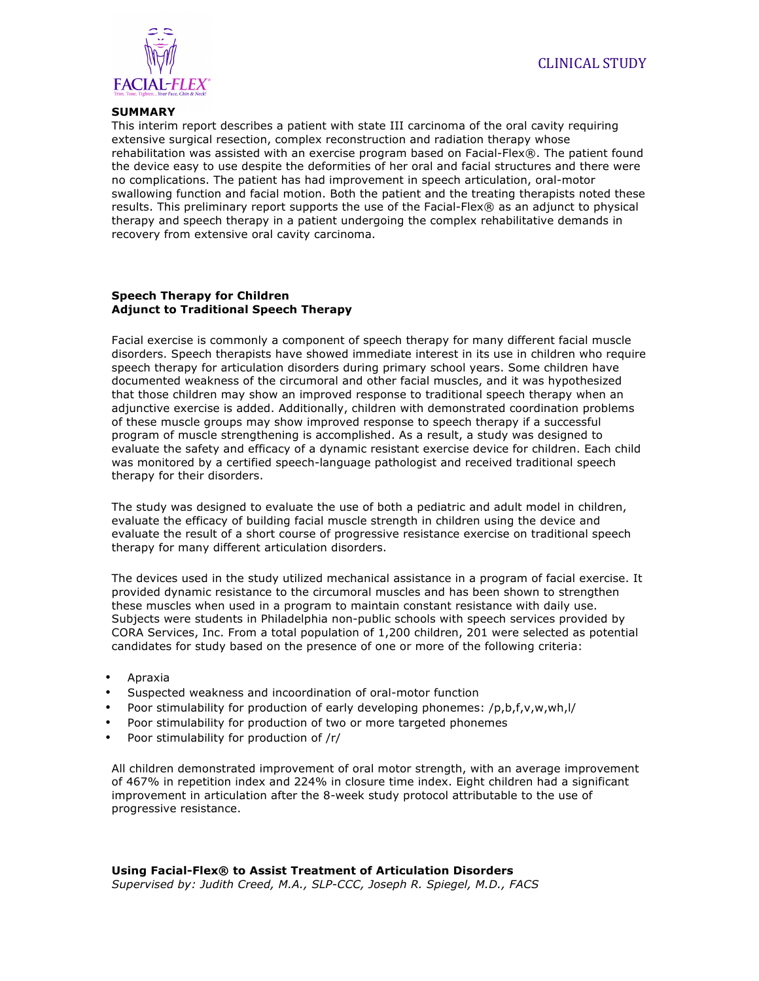



#### **SUMMARY**

This interim report describes a patient with state III carcinoma of the oral cavity requiring extensive surgical resection, complex reconstruction and radiation therapy whose rehabilitation was assisted with an exercise program based on Facial-Flex®. The patient found the device easy to use despite the deformities of her oral and facial structures and there were no complications. The patient has had improvement in speech articulation, oral-motor swallowing function and facial motion. Both the patient and the treating therapists noted these results. This preliminary report supports the use of the Facial-Flex® as an adjunct to physical therapy and speech therapy in a patient undergoing the complex rehabilitative demands in recovery from extensive oral cavity carcinoma.

#### **Speech Therapy for Children Adjunct to Traditional Speech Therapy**

Facial exercise is commonly a component of speech therapy for many different facial muscle disorders. Speech therapists have showed immediate interest in its use in children who require speech therapy for articulation disorders during primary school years. Some children have documented weakness of the circumoral and other facial muscles, and it was hypothesized that those children may show an improved response to traditional speech therapy when an adjunctive exercise is added. Additionally, children with demonstrated coordination problems of these muscle groups may show improved response to speech therapy if a successful program of muscle strengthening is accomplished. As a result, a study was designed to evaluate the safety and efficacy of a dynamic resistant exercise device for children. Each child was monitored by a certified speech-language pathologist and received traditional speech therapy for their disorders.

The study was designed to evaluate the use of both a pediatric and adult model in children, evaluate the efficacy of building facial muscle strength in children using the device and evaluate the result of a short course of progressive resistance exercise on traditional speech therapy for many different articulation disorders.

The devices used in the study utilized mechanical assistance in a program of facial exercise. It provided dynamic resistance to the circumoral muscles and has been shown to strengthen these muscles when used in a program to maintain constant resistance with daily use. Subjects were students in Philadelphia non-public schools with speech services provided by CORA Services, Inc. From a total population of 1,200 children, 201 were selected as potential candidates for study based on the presence of one or more of the following criteria:

- Apraxia
- Suspected weakness and incoordination of oral-motor function
- Poor stimulability for production of early developing phonemes: /p,b,f,v,w,wh,l/
- Poor stimulability for production of two or more targeted phonemes
- Poor stimulability for production of /r/

All children demonstrated improvement of oral motor strength, with an average improvement of 467% in repetition index and 224% in closure time index. Eight children had a significant improvement in articulation after the 8-week study protocol attributable to the use of progressive resistance.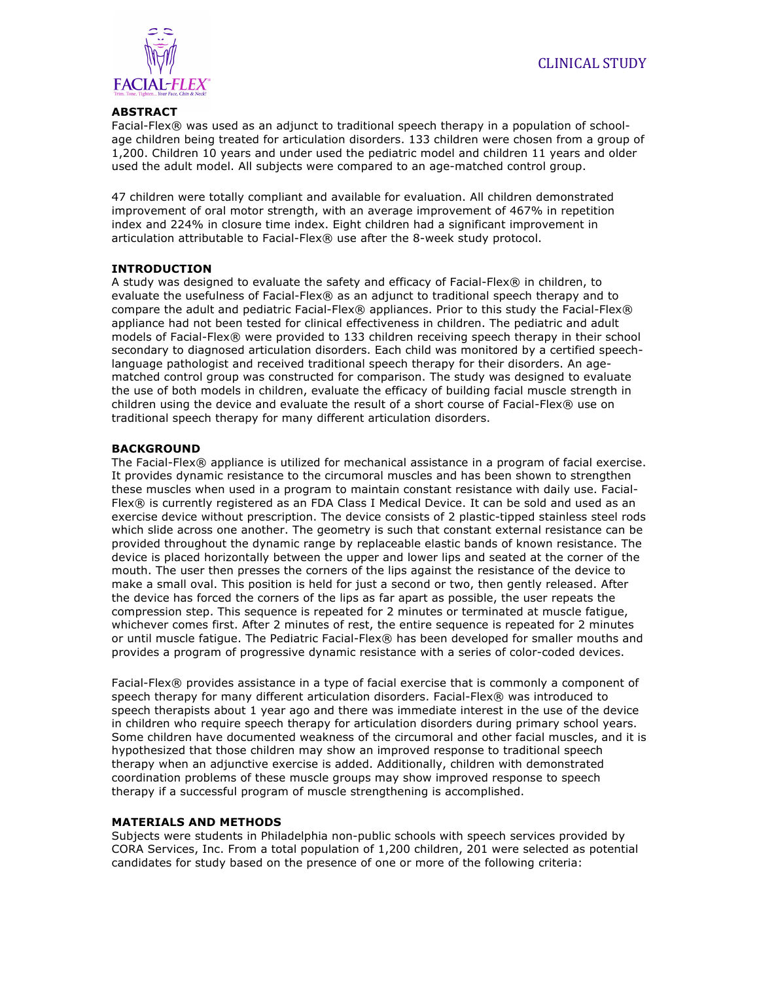

### **ABSTRACT**

Facial-Flex® was used as an adjunct to traditional speech therapy in a population of schoolage children being treated for articulation disorders. 133 children were chosen from a group of 1,200. Children 10 years and under used the pediatric model and children 11 years and older used the adult model. All subjects were compared to an age-matched control group.

47 children were totally compliant and available for evaluation. All children demonstrated improvement of oral motor strength, with an average improvement of 467% in repetition index and 224% in closure time index. Eight children had a significant improvement in articulation attributable to Facial-Flex® use after the 8-week study protocol.

# **INTRODUCTION**

A study was designed to evaluate the safety and efficacy of Facial-Flex® in children, to evaluate the usefulness of Facial-Flex® as an adjunct to traditional speech therapy and to compare the adult and pediatric Facial-Flex® appliances. Prior to this study the Facial-Flex® appliance had not been tested for clinical effectiveness in children. The pediatric and adult models of Facial-Flex® were provided to 133 children receiving speech therapy in their school secondary to diagnosed articulation disorders. Each child was monitored by a certified speechlanguage pathologist and received traditional speech therapy for their disorders. An agematched control group was constructed for comparison. The study was designed to evaluate the use of both models in children, evaluate the efficacy of building facial muscle strength in children using the device and evaluate the result of a short course of Facial-Flex® use on traditional speech therapy for many different articulation disorders.

### **BACKGROUND**

The Facial-Flex® appliance is utilized for mechanical assistance in a program of facial exercise. It provides dynamic resistance to the circumoral muscles and has been shown to strengthen these muscles when used in a program to maintain constant resistance with daily use. Facial-Flex® is currently registered as an FDA Class I Medical Device. It can be sold and used as an exercise device without prescription. The device consists of 2 plastic-tipped stainless steel rods which slide across one another. The geometry is such that constant external resistance can be provided throughout the dynamic range by replaceable elastic bands of known resistance. The device is placed horizontally between the upper and lower lips and seated at the corner of the mouth. The user then presses the corners of the lips against the resistance of the device to make a small oval. This position is held for just a second or two, then gently released. After the device has forced the corners of the lips as far apart as possible, the user repeats the compression step. This sequence is repeated for 2 minutes or terminated at muscle fatigue, whichever comes first. After 2 minutes of rest, the entire sequence is repeated for 2 minutes or until muscle fatigue. The Pediatric Facial-Flex® has been developed for smaller mouths and provides a program of progressive dynamic resistance with a series of color-coded devices.

Facial-Flex® provides assistance in a type of facial exercise that is commonly a component of speech therapy for many different articulation disorders. Facial-Flex® was introduced to speech therapists about 1 year ago and there was immediate interest in the use of the device in children who require speech therapy for articulation disorders during primary school years. Some children have documented weakness of the circumoral and other facial muscles, and it is hypothesized that those children may show an improved response to traditional speech therapy when an adjunctive exercise is added. Additionally, children with demonstrated coordination problems of these muscle groups may show improved response to speech therapy if a successful program of muscle strengthening is accomplished.

#### **MATERIALS AND METHODS**

Subjects were students in Philadelphia non-public schools with speech services provided by CORA Services, Inc. From a total population of 1,200 children, 201 were selected as potential candidates for study based on the presence of one or more of the following criteria: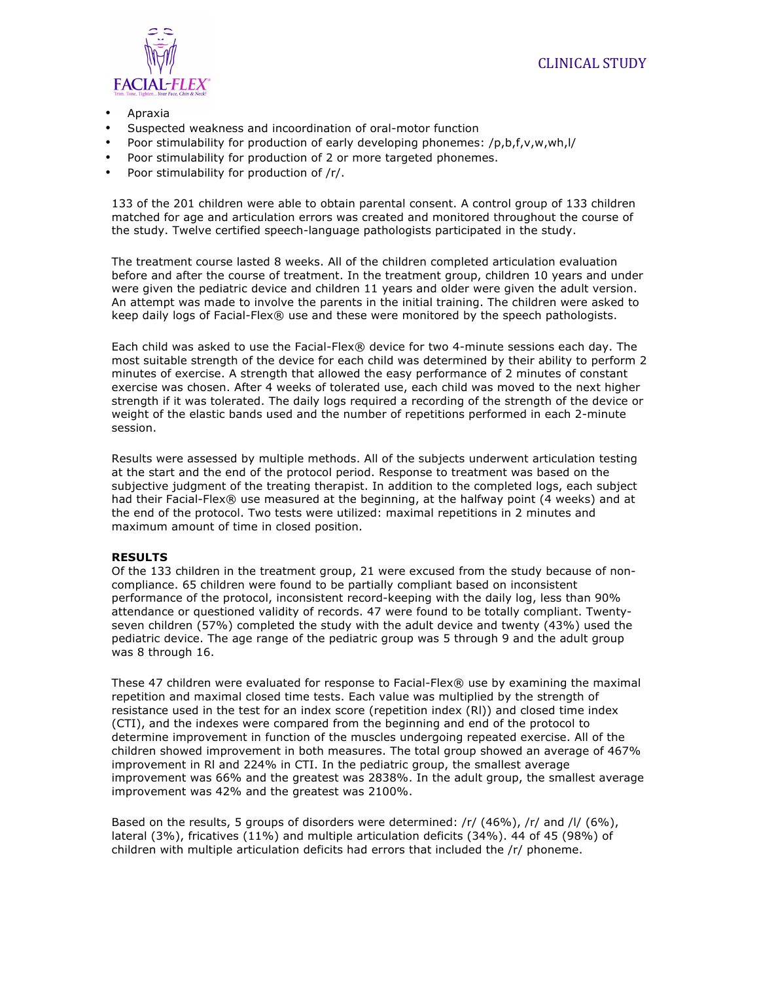

- Apraxia
- Suspected weakness and incoordination of oral-motor function
- Poor stimulability for production of early developing phonemes: /p,b,f,v,w,wh,l/
- Poor stimulability for production of 2 or more targeted phonemes.
- Poor stimulability for production of /r/.

133 of the 201 children were able to obtain parental consent. A control group of 133 children matched for age and articulation errors was created and monitored throughout the course of the study. Twelve certified speech-language pathologists participated in the study.

The treatment course lasted 8 weeks. All of the children completed articulation evaluation before and after the course of treatment. In the treatment group, children 10 years and under were given the pediatric device and children 11 years and older were given the adult version. An attempt was made to involve the parents in the initial training. The children were asked to keep daily logs of Facial-Flex® use and these were monitored by the speech pathologists.

Each child was asked to use the Facial-Flex® device for two 4-minute sessions each day. The most suitable strength of the device for each child was determined by their ability to perform 2 minutes of exercise. A strength that allowed the easy performance of 2 minutes of constant exercise was chosen. After 4 weeks of tolerated use, each child was moved to the next higher strength if it was tolerated. The daily logs required a recording of the strength of the device or weight of the elastic bands used and the number of repetitions performed in each 2-minute session.

Results were assessed by multiple methods. All of the subjects underwent articulation testing at the start and the end of the protocol period. Response to treatment was based on the subjective judgment of the treating therapist. In addition to the completed logs, each subject had their Facial-Flex® use measured at the beginning, at the halfway point (4 weeks) and at the end of the protocol. Two tests were utilized: maximal repetitions in 2 minutes and maximum amount of time in closed position.

#### **RESULTS**

Of the 133 children in the treatment group, 21 were excused from the study because of noncompliance. 65 children were found to be partially compliant based on inconsistent performance of the protocol, inconsistent record-keeping with the daily log, less than 90% attendance or questioned validity of records. 47 were found to be totally compliant. Twentyseven children (57%) completed the study with the adult device and twenty (43%) used the pediatric device. The age range of the pediatric group was 5 through 9 and the adult group was 8 through 16.

These 47 children were evaluated for response to Facial-Flex® use by examining the maximal repetition and maximal closed time tests. Each value was multiplied by the strength of resistance used in the test for an index score (repetition index (Rl)) and closed time index (CTI), and the indexes were compared from the beginning and end of the protocol to determine improvement in function of the muscles undergoing repeated exercise. All of the children showed improvement in both measures. The total group showed an average of 467% improvement in Rl and 224% in CTI. In the pediatric group, the smallest average improvement was 66% and the greatest was 2838%. In the adult group, the smallest average improvement was 42% and the greatest was 2100%.

Based on the results, 5 groups of disorders were determined:  $\frac{r}{46\%}$ ,  $\frac{r}{46\%}$ ,  $\frac{r}{46\%}$ ,  $\frac{r}{46\%}$ , lateral (3%), fricatives (11%) and multiple articulation deficits (34%). 44 of 45 (98%) of children with multiple articulation deficits had errors that included the /r/ phoneme.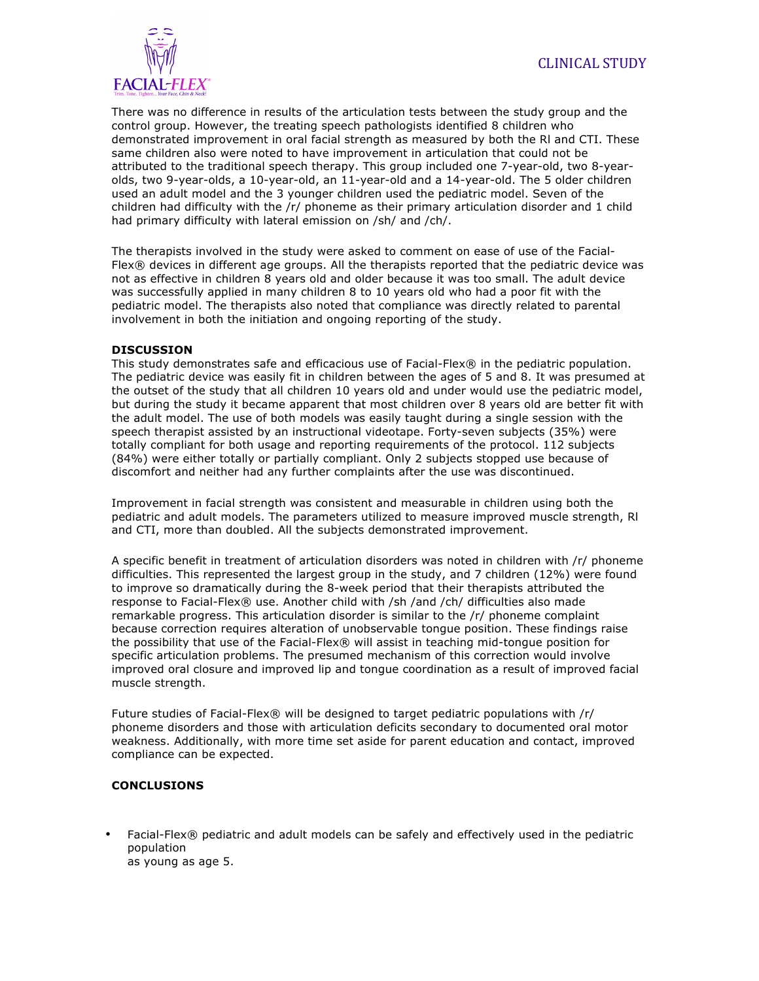

There was no difference in results of the articulation tests between the study group and the control group. However, the treating speech pathologists identified 8 children who demonstrated improvement in oral facial strength as measured by both the Rl and CTI. These same children also were noted to have improvement in articulation that could not be attributed to the traditional speech therapy. This group included one 7-year-old, two 8-yearolds, two 9-year-olds, a 10-year-old, an 11-year-old and a 14-year-old. The 5 older children used an adult model and the 3 younger children used the pediatric model. Seven of the children had difficulty with the /r/ phoneme as their primary articulation disorder and 1 child had primary difficulty with lateral emission on /sh/ and /ch/.

The therapists involved in the study were asked to comment on ease of use of the Facial-Flex® devices in different age groups. All the therapists reported that the pediatric device was not as effective in children 8 years old and older because it was too small. The adult device was successfully applied in many children 8 to 10 years old who had a poor fit with the pediatric model. The therapists also noted that compliance was directly related to parental involvement in both the initiation and ongoing reporting of the study.

# **DISCUSSION**

This study demonstrates safe and efficacious use of Facial-Flex® in the pediatric population. The pediatric device was easily fit in children between the ages of 5 and 8. It was presumed at the outset of the study that all children 10 years old and under would use the pediatric model, but during the study it became apparent that most children over 8 years old are better fit with the adult model. The use of both models was easily taught during a single session with the speech therapist assisted by an instructional videotape. Forty-seven subjects (35%) were totally compliant for both usage and reporting requirements of the protocol. 112 subjects (84%) were either totally or partially compliant. Only 2 subjects stopped use because of discomfort and neither had any further complaints after the use was discontinued.

Improvement in facial strength was consistent and measurable in children using both the pediatric and adult models. The parameters utilized to measure improved muscle strength, Rl and CTI, more than doubled. All the subjects demonstrated improvement.

A specific benefit in treatment of articulation disorders was noted in children with /r/ phoneme difficulties. This represented the largest group in the study, and 7 children (12%) were found to improve so dramatically during the 8-week period that their therapists attributed the response to Facial-Flex® use. Another child with /sh /and /ch/ difficulties also made remarkable progress. This articulation disorder is similar to the /r/ phoneme complaint because correction requires alteration of unobservable tongue position. These findings raise the possibility that use of the Facial-Flex® will assist in teaching mid-tongue position for specific articulation problems. The presumed mechanism of this correction would involve improved oral closure and improved lip and tongue coordination as a result of improved facial muscle strength.

Future studies of Facial-Flex® will be designed to target pediatric populations with /r/ phoneme disorders and those with articulation deficits secondary to documented oral motor weakness. Additionally, with more time set aside for parent education and contact, improved compliance can be expected.

# **CONCLUSIONS**

• Facial-Flex® pediatric and adult models can be safely and effectively used in the pediatric population as young as age 5.